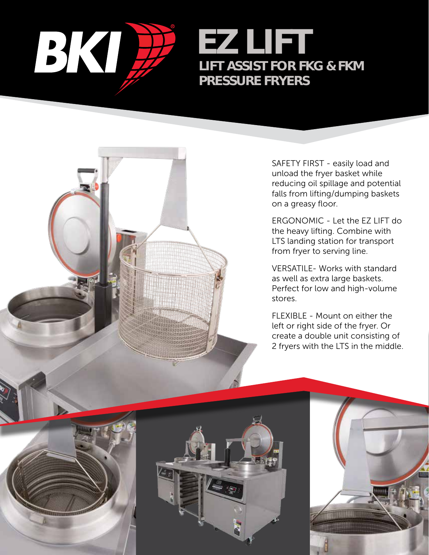

EZ LIFT LIFT ASSIST FOR FKG & FKM PRESSURE FRYERS

> SAFETY FIRST - easily load and unload the fryer basket while reducing oil spillage and potential falls from lifting/dumping baskets on a greasy floor.

ERGONOMIC - Let the EZ LIFT do the heavy lifting. Combine with LTS landing station for transport from fryer to serving line.

VERSATILE- Works with standard as well as extra large baskets. Perfect for low and high-volume stores.

FLEXIBLE - Mount on either the left or right side of the fryer. Or create a double unit consisting of 2 fryers with the LTS in the middle.